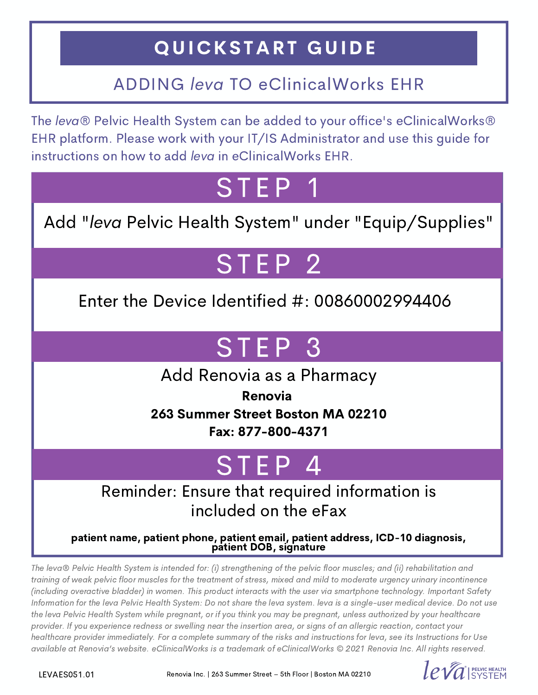## QUICKSTART GUIDE

### ADDING leva TO eClinicalWorks EHR

The leva® Pelvic Health System can be added to your office's eClinicalWorks® EHR platform. Please work with your IT/IS Administrator and use this guide for instructions on how to add leva in eClinicalWorks EHR.

**STEP** 

Add "leva Pelvic Health System" under "Equip/Supplies"

# STEP<sub>2</sub>

Enter the Device Identified #: 00860002994406

## ST EP 3

Add Renovia as a Pharmacy

Renovia 263 Summer Street Boston MA 02210 Fax: 877-800-4371

## TEP

#### Reminder: Ensure that required information is included on the eFax

patient name, patient phone, patient email, patient address, ICD-10 diagnosis, patient DOB, signature

The leva® Pelvic Health System is intended for: (i) strengthening of the pelvic floor muscles; and (ii) rehabilitation and training of weak pelvic floor muscles for the treatment of stress, mixed and mild to moderate urgency urinary incontinence (including overactive bladder) in women. This product interacts with the user via smartphone technology. Important Safety Information for the leva Pelvic Health System: Do not share the leva system. leva is a single-user medical device. Do not use the leva Pelvic Health System while pregnant, or if you think you may be pregnant, unless authorized by your healthcare provider. If you experience redness or swelling near the insertion area, or signs of an allergic reaction, contact your healthcare provider immediately. For a complete summary of the risks and instructions for leva, see its Instructions for Use available at [Renovia's](https://renoviainc.com/wp-content/uploads/2018/04/leva-PDHS-IFU-Manual-Final-FDA-Approved-4Apr18.pdf) website. eClinicalWorks is a trademark of eClinicalWorks © 2021 Renovia Inc. All rights reserved.

LEVAES051.01

Renovia Inc. | 263 Summer Street – 5th Floor | Boston MA 02210